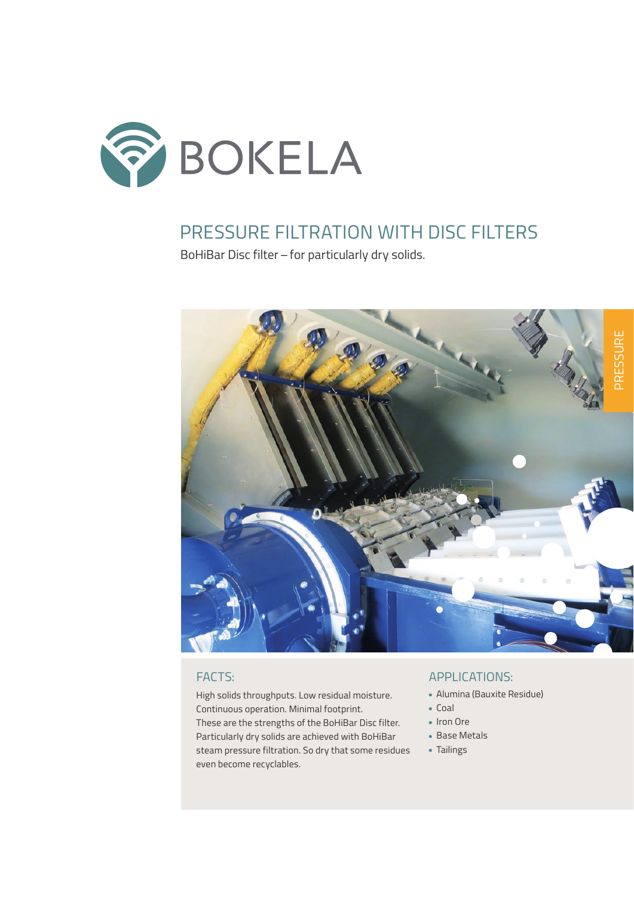

## PRESSURE FILTRATION WITH DISC FILTERS

BoHiBar Disc filter – for particularly dry solids.



High solids throughputs. Low residual moisture. Continuous operation. Minimal footprint. These are the strengths of the BoHiBar Disc filter. Particularly dry solids are achieved with BoHiBar steam pressure filtration. So dry that some residues even become recyclables.

### FACTS: APPLICATIONS:

- Alumina (Bauxite Residue)
- $\bullet$  Coal
- Iron Ore
- Base Metals
- Tailings